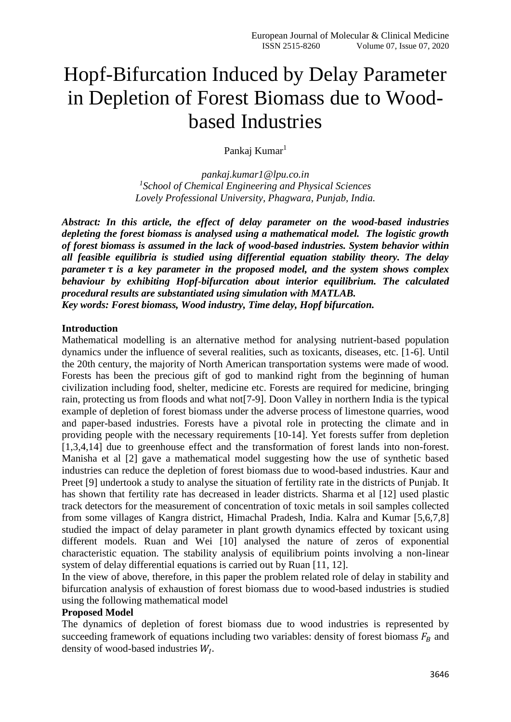# Hopf-Bifurcation Induced by Delay Parameter in Depletion of Forest Biomass due to Woodbased Industries

Pankaj Kumar<sup>1</sup>

*pankaj.kumar1@lpu.co.in 1 School of Chemical Engineering and Physical Sciences Lovely Professional University, Phagwara, Punjab, India.*

*Abstract: In this article, the effect of delay parameter on the wood-based industries depleting the forest biomass is analysed using a mathematical model. The logistic growth of forest biomass is assumed in the lack of wood-based industries. System behavior within all feasible equilibria is studied using differential equation stability theory. The delay parameter is a key parameter in the proposed model, and the system shows complex behaviour by exhibiting Hopf-bifurcation about interior equilibrium. The calculated procedural results are substantiated using simulation with MATLAB. Key words: Forest biomass, Wood industry, Time delay, Hopf bifurcation.*

## **Introduction**

Mathematical modelling is an alternative method for analysing nutrient-based population dynamics under the influence of several realities, such as toxicants, diseases, etc. [1-6]. Until the 20th century, the majority of North American transportation systems were made of wood. Forests has been the precious gift of god to mankind right from the beginning of human civilization including food, shelter, medicine etc. Forests are required for medicine, bringing rain, protecting us from floods and what not[7-9]. Doon Valley in northern India is the typical example of depletion of forest biomass under the adverse process of limestone quarries, wood and paper-based industries. Forests have a pivotal role in protecting the climate and in providing people with the necessary requirements [10-14]. Yet forests suffer from depletion [1,3,4,14] due to greenhouse effect and the transformation of forest lands into non-forest. Manisha et al [2] gave a mathematical model suggesting how the use of synthetic based industries can reduce the depletion of forest biomass due to wood-based industries. Kaur and Preet [9] undertook a study to analyse the situation of fertility rate in the districts of Punjab. It has shown that fertility rate has decreased in leader districts. Sharma et al [12] used plastic track detectors for the measurement of concentration of toxic metals in soil samples collected from some villages of Kangra district, Himachal Pradesh, India. Kalra and Kumar [5,6,7,8] studied the impact of delay parameter in plant growth dynamics effected by toxicant using different models. Ruan and Wei [10] analysed the nature of zeros of exponential characteristic equation. The stability analysis of equilibrium points involving a non-linear system of delay differential equations is carried out by Ruan [11, 12].

In the view of above, therefore, in this paper the problem related role of delay in stability and bifurcation analysis of exhaustion of forest biomass due to wood-based industries is studied using the following mathematical model

## **Proposed Model**

The dynamics of depletion of forest biomass due to wood industries is represented by succeeding framework of equations including two variables: density of forest biomass  $F_R$  and density of wood-based industries  $W_I$ .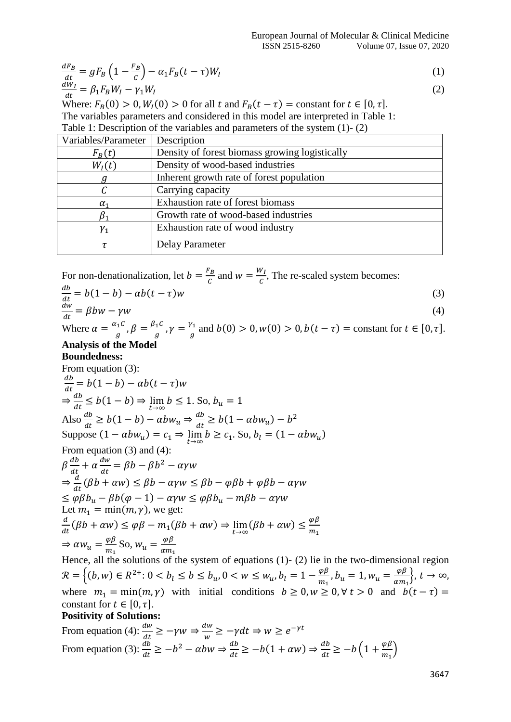$$
\frac{dF_B}{dt} = gF_B \left( 1 - \frac{F_B}{c} \right) - \alpha_1 F_B (t - \tau) W_I
$$
\n
$$
\frac{dW_I}{dt} = \beta_1 F_B W_I - \gamma_1 W_I
$$
\n(1)

Where:  $F_B(0) > 0$ ,  $W_I(0) > 0$  for all t and  $F_B(t - \tau) =$  constant for  $t \in [0, \tau]$ . The variables parameters and considered in this model are interpreted in Table 1: Table 1: Description of the variables and parameters of the system (1)- (2)

| Variables/Parameter | Description                                    |
|---------------------|------------------------------------------------|
| $F_R(t)$            | Density of forest biomass growing logistically |
| $W_I(t)$            | Density of wood-based industries               |
|                     | Inherent growth rate of forest population      |
|                     | Carrying capacity                              |
| $\alpha_1$          | Exhaustion rate of forest biomass              |
| D                   | Growth rate of wood-based industries           |
| $\gamma_1$          | Exhaustion rate of wood industry               |
| τ                   | <b>Delay Parameter</b>                         |

For non-denationalization, let  $b = \frac{F_B}{c}$  $\frac{F_B}{C}$  and  $w = \frac{W_I}{C}$  $\frac{v_I}{c}$ , The re-scaled system becomes:

$$
\frac{db}{dt} = b(1-b) - \alpha b(t-\tau)w\tag{3}
$$

$$
\frac{dw}{dt} = \beta bw - \gamma w
$$
\n(4)  
\nWhere  $\alpha = \frac{\alpha_1 C}{g}, \beta = \frac{\beta_1 C}{g}, \gamma = \frac{\gamma_1}{g}$  and  $b(0) > 0, w(0) > 0, b(t - \tau) = \text{constant for } t \in [0, \tau]$ .  
\nAnalysis of the Model  
\nBoundedness:  
\nFrom equation (3):  
\n
$$
\frac{db}{dt} = b(1 - b) - \alpha b(t - \tau) w
$$
\n
$$
\Rightarrow \frac{db}{dt} \le b(1 - b) \Rightarrow \lim_{h \to \infty} b \le 1. \text{ So, } b_u = 1
$$
\n(4)

 $\frac{du}{dt} \le b(1-b) \Rightarrow \lim_{t \to \infty} b \le 1$ . So,  $b_u = 1$ Also  $\frac{db}{dt} \ge b(1-b) - abw_u \Rightarrow \frac{db}{dt}$  $\frac{ab}{dt} \ge b(1 - \alpha bw_u) - b^2$ Suppose  $(1 - \alpha b w_u) = c_1 \Rightarrow \lim_{t \to \infty} b \ge c_1$ . So,  $b_l = (1 - \alpha b w_u)$ From equation (3) and (4):  $\beta \frac{db}{dt}$  $\frac{db}{dt} + \alpha \frac{dw}{dt}$  $\frac{dw}{dt} = \beta b - \beta b^2 - \alpha \gamma w$  $\Rightarrow \frac{d}{dt}$  $\frac{d}{dt}(\beta b + \alpha w) \le \beta b - \alpha \gamma w \le \beta b - \varphi \beta b + \varphi \beta b - \alpha \gamma w$  $\leq \ddot{\varphi}\beta b_u - \beta b(\varphi - 1) - \alpha \gamma w \leq \varphi \beta b_u - m\beta b - \alpha \gamma w$ Let  $m_1 = \min(m, v)$ , we get:

Let 
$$
m_1 = min(m, \gamma)
$$
, we get:  
\n
$$
\frac{d}{dt}(\beta b + \alpha w) \le \varphi \beta - m_1(\beta b + \alpha w) \Rightarrow \lim_{t \to \infty} (\beta b + \alpha w) \le \frac{\varphi \beta}{m_1}
$$
\n
$$
\Rightarrow \alpha w_u = \frac{\varphi \beta}{m_1} \text{So, } w_u = \frac{\varphi \beta}{\alpha m_1}
$$

Hence, all the solutions of the system of equations (1)- (2) lie in the two-dimensional region  $\mathcal{R} = \left\{ (b, w) \in R^{2+}: 0 < b_l \le b \le b_u, 0 < w \le w_u, b_l = 1 - \frac{\varphi \beta}{m} \right\}$  $\frac{\varphi\beta}{m_1}$ ,  $b_u = 1$ ,  $w_u = \frac{\varphi\beta}{\alpha m}$  $\frac{\varphi p}{\alpha m_1}$ ,  $t \to \infty$ , where  $m_1 = \min(m, \gamma)$  with initial conditions  $b \ge 0, w \ge 0, \forall t > 0$  and  $b(t - \tau) =$ constant for  $t \in [0, \tau]$ .

## **Positivity of Solutions:**

From equation (4): 
$$
\frac{dw}{dt} \ge -\gamma w \Rightarrow \frac{dw}{w} \ge -\gamma dt \Rightarrow w \ge e^{-\gamma t}
$$
  
From equation (3):  $\frac{db}{dt} \ge -b^2 - abw \Rightarrow \frac{db}{dt} \ge -b(1 + \alpha w) \Rightarrow \frac{db}{dt} \ge -b(1 + \frac{\varphi \beta}{m_1})$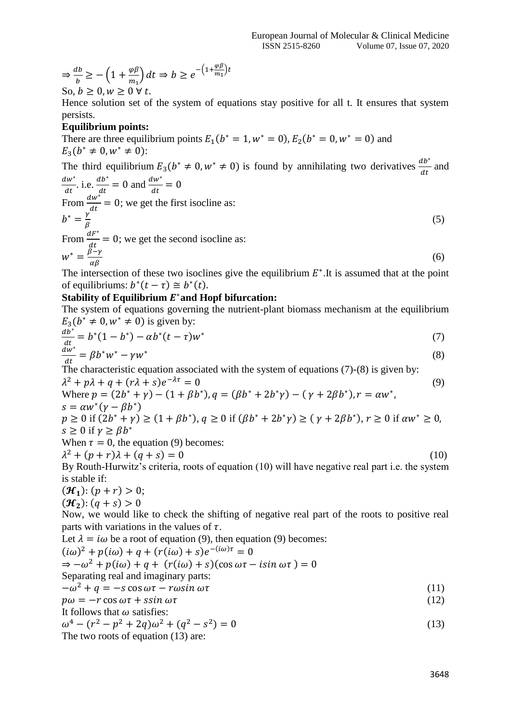$$
\Rightarrow \frac{db}{b} \ge -\left(1 + \frac{\varphi \beta}{m_1}\right) dt \Rightarrow b \ge e^{-\left(1 + \frac{\varphi \beta}{m_1}\right)t}
$$
  
So,  $b > 0$ ,  $w > 0$   $\forall$  t

 $\forall$  50,  $\theta \geq 0, w \geq 0 \forall t$ .

Hence solution set of the system of equations stay positive for all t. It ensures that system persists.

## **Equilibrium points:**

There are three equilibrium points  $E_1(b^* = 1, w^* = 0)$ ,  $E_2(b^* = 0, w^* = 0)$  and  $E_3(b^* \neq 0, w^* \neq 0)$ :

The third equilibrium  $E_3(b^* \neq 0, w^* \neq 0)$  is found by annihilating two derivatives  $\frac{db^*}{dt}$  $\frac{dv}{dt}$  and  $dw^*$  $\frac{dw^*}{dt}$ . i.e.  $\frac{db^*}{dt}$  $\frac{db^*}{dt} = 0$  and  $\frac{dw^*}{dt} = 0$ From  $\frac{dw^*}{dt} = 0$ ; we get the first isocline as:  $b^* = \frac{\gamma}{a}$ β (5) From  $\frac{dF^*}{dt}$  $\frac{dr}{dt} = 0$ ; we get the second isocline as:  $w^* = \frac{\beta - \gamma}{\alpha \beta}$  (6)

The intersection of these two isoclines give the equilibrium  $E^*$ . It is assumed that at the point of equilibriums:  $b^*(t-\tau) \cong b^*(t)$ .

## Stability of Equilibrium  $E^*$  and Hopf bifurcation:

The system of equations governing the nutrient-plant biomass mechanism at the equilibrium  $E_3(b^* \neq 0, w^* \neq 0)$  is given by:

$$
\frac{d\vec{b}^*}{dt} = b^*(1 - b^*) - \alpha b^*(t - \tau)w^* \n\frac{dw^*}{dt} = \beta b^* w^* - \gamma w^* \tag{8}
$$

$$
dt
$$
 The characteristic equation associated with the system of equations (7)-(8) is given by:

 $\lambda^2 + p\lambda + q + (r\lambda + s)e$  $-\lambda \tau = 0$  (9) Where  $p = (2b^* + \gamma) - (1 + \beta b^*)$ ,  $q = (\beta b^* + 2b^* \gamma) - (\gamma + 2\beta b^*)$ ,  $r = \alpha w^*$ ,  $s = \alpha w^* (\gamma - \beta b^*)$ 

 $p \ge 0$  if  $(2b^* + \gamma) \ge (1 + \beta b^*)$ ,  $q \ge 0$  if  $(\beta b^* + 2b^* \gamma) \ge (\gamma + 2\beta b^*)$ ,  $r \ge 0$  if  $\alpha w^* \ge 0$ ,  $s \geq 0$  if  $\gamma \geq \beta b^*$ 

When  $\tau = 0$ , the equation (9) becomes:

$$
\lambda^2 + (p+r)\lambda + (q+s) = 0 \tag{10}
$$

By Routh-Hurwitz's criteria, roots of equation (10) will have negative real part i.e. the system is stable if:

$$
(\mathcal{H}_1): (p+r) > 0;
$$

$$
(\mathcal{H}_2)\colon (q+s)>0
$$

Now, we would like to check the shifting of negative real part of the roots to positive real parts with variations in the values of  $\tau$ .

Let  $\lambda = i\omega$  be a root of equation (9), then equation (9) becomes:

$$
(i\omega)^2 + p(i\omega) + q + (r(i\omega) + s)e^{-(i\omega)\tau} = 0
$$

 $\Rightarrow -\omega^2 + p(i\omega) + q + (r(i\omega) + s)(\cos \omega \tau - i\sin \omega \tau) = 0$ Separating real and imaginary parts:

$$
-\omega^2 + q = -s\cos\omega\tau - r\omega\sin\omega\tau\tag{11}
$$

 $p\omega = -r \cos \omega \tau + \sin \omega \tau$  (12)

It follows that  $\omega$  satisfies:

$$
\omega^4 - (r^2 - p^2 + 2q)\omega^2 + (q^2 - s^2) = 0
$$
  
The two roots of equation (13) are: (13)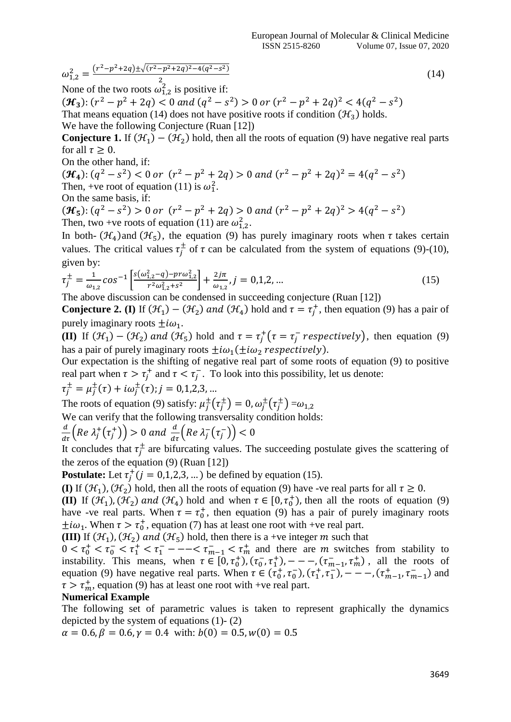$$
\omega_{1,2}^2 = \frac{(r^2 - p^2 + 2q) \pm \sqrt{(r^2 - p^2 + 2q)^2 - 4(q^2 - s^2)}}{2}
$$

None of the two roots  $\omega_{1,2}^2$  is positive if:

 $(\mathcal{H}_3)$ :  $(r^2 - p^2 + 2q) < 0$  and  $(q^2 - s^2) > 0$  or  $(r^2 - p^2 + 2q)^2 < 4(q^2 - s^2)$ That means equation (14) does not have positive roots if condition  $(\mathcal{H}_3)$  holds. We have the following Conjecture (Ruan [12])

**Conjecture 1.** If  $(\mathcal{H}_1) - (\mathcal{H}_2)$  hold, then all the roots of equation (9) have negative real parts for all  $\tau \geq 0$ .

On the other hand, if:

 $(\mathcal{H}_4): (q^2 - s^2) < 0$  or  $(r^2 - p^2 + 2q) > 0$  and  $(r^2 - p^2 + 2q)^2 = 4(q^2 - s^2)$ Then, +ve root of equation (11) is  $\omega_1^2$ .

On the same basis, if:

 $(\mathcal{H}_5)$ :  $(q^2 - s^2) > 0$  or  $(r^2 - p^2 + 2q) > 0$  and  $(r^2 - p^2 + 2q)^2 > 4(q^2 - s^2)$ Then, two +ve roots of equation (11) are  $\omega_{1,2}^2$ .

In both-  $(\mathcal{H}_4)$  and  $(\mathcal{H}_5)$ , the equation (9) has purely imaginary roots when  $\tau$  takes certain values. The critical values  $\tau_j^{\pm}$  of  $\tau$  can be calculated from the system of equations (9)-(10), given by:

$$
\tau_j^{\pm} = \frac{1}{\omega_{1,2}} \cos^{-1} \left[ \frac{s(\omega_{1,2}^2 - q) - pr\omega_{1,2}^2}{r^2 \omega_{1,2}^2 + s^2} \right] + \frac{2j\pi}{\omega_{1,2}}, j = 0, 1, 2, ... \tag{15}
$$

The above discussion can be condensed in succeeding conjecture (Ruan [12])

**Conjecture 2.** (I) If  $(\mathcal{H}_1) - (\mathcal{H}_2)$  and  $(\mathcal{H}_4)$  hold and  $\tau = \tau_j^+$ , then equation (9) has a pair of purely imaginary roots  $\pm i\omega_1$ .

**(II)** If  $(\mathcal{H}_1) - (\mathcal{H}_2)$  and  $(\mathcal{H}_5)$  hold and  $\tau = \tau_j^+(\tau = \tau_j^-$  respectively), then equation (9) has a pair of purely imaginary roots  $\pm i\omega_1(\pm i\omega_2$  respectively).

Our expectation is the shifting of negative real part of some roots of equation (9) to positive real part when  $\tau > \tau_j^+$  and  $\tau < \tau_j^-$ . To look into this possibility, let us denote:

 $\tau_j^{\pm} = \mu_j^{\pm}(\tau) + i\omega_j^{\pm}(\tau); j = 0,1,2,3,...$ 

The roots of equation (9) satisfy:  $\mu_j^{\pm}(\tau_j^{\pm}) = 0$ ,  $\omega_j^{\pm}(\tau_j^{\pm}) = \omega_{1,2}$ 

We can verify that the following transversality condition holds:

$$
\frac{d}{d\tau}\left(Re\ \lambda_j^+\left(\tau_j^+\right)\right) > 0 \ and\ \frac{d}{d\tau}\left(Re\ \lambda_j^-\left(\tau_j^-\right)\right) < 0
$$

It concludes that  $\tau_j^{\pm}$  are bifurcating values. The succeeding postulate gives the scattering of the zeros of the equation (9) (Ruan [12])

**Postulate:** Let  $\tau_j^+(j = 0, 1, 2, 3, ...)$  be defined by equation (15).

**(I)** If  $(\mathcal{H}_1)$ ,  $(\mathcal{H}_2)$  hold, then all the roots of equation (9) have -ve real parts for all  $\tau \ge 0$ .

**(II)** If  $(\mathcal{H}_1)$ ,  $(\mathcal{H}_2)$  and  $(\mathcal{H}_4)$  hold and when  $\tau \in [0, \tau_0^+)$ , then all the roots of equation (9) have -ve real parts. When  $\tau = \tau_0^+$ , then equation (9) has a pair of purely imaginary roots  $\pm i\omega_1$ . When  $\tau > \tau_0^+$ , equation (7) has at least one root with +ve real part.

**(III)** If  $(\mathcal{H}_1)$ ,  $(\mathcal{H}_2)$  and  $(\mathcal{H}_5)$  hold, then there is a +ve integer m such that

 $0 < \tau_0^+ < \tau_0^- < \tau_1^+ < \tau_1^- - - < \tau_{m-1}^- < \tau_m^+$  and there are m switches from stability to instability. This means, when  $\tau \in [0, \tau_0^+), (\tau_0^-, \tau_1^+), \tau_- - \tau, (\tau_{m-1}^-, \tau_m^+)$ , all the roots of equation (9) have negative real parts. When  $\tau \in (\tau_0^+, \tau_0^-), (\tau_1^+, \tau_1^-), \tau_- - , (\tau_{m-1}^+, \tau_{m-1}^-)$  and  $\tau > \tau_m^+$ , equation (9) has at least one root with +ve real part.

## **Numerical Example**

The following set of parametric values is taken to represent graphically the dynamics depicted by the system of equations (1)- (2)

 $\alpha = 0.6, \beta = 0.6, \gamma = 0.4$  with:  $b(0) = 0.5, w(0) = 0.5$ 

(14)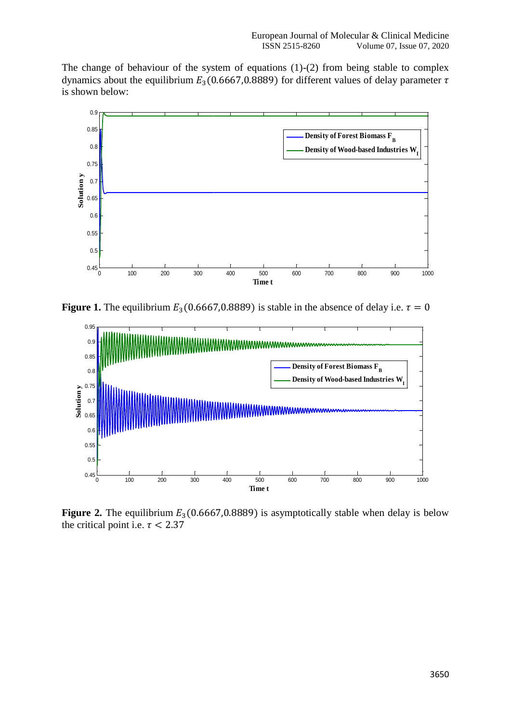The change of behaviour of the system of equations (1)-(2) from being stable to complex dynamics about the equilibrium  $E_3(0.6667,0.8889)$  for different values of delay parameter  $\tau$ is shown below:



**Figure 1.** The equilibrium  $E_3(0.6667,0.8889)$  is stable in the absence of delay i.e.  $\tau = 0$ 



**Figure 2.** The equilibrium  $E_3(0.6667,0.8889)$  is asymptotically stable when delay is below the critical point i.e.  $\tau$  < 2.37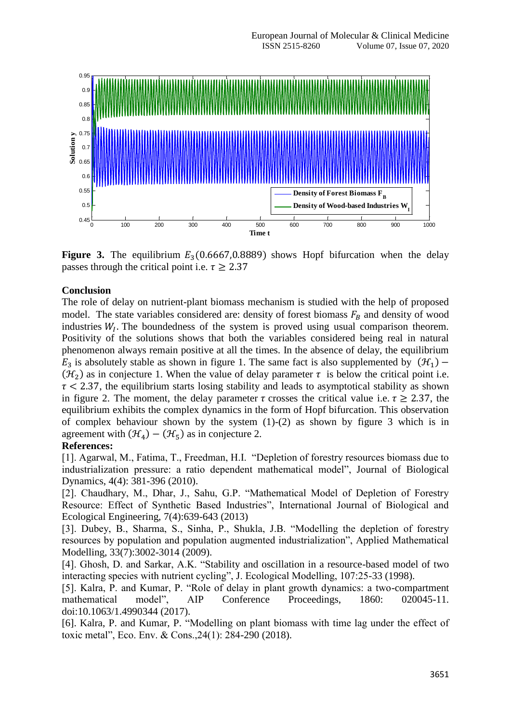

**Figure 3.** The equilibrium  $E_3(0.6667,0.8889)$  shows Hopf bifurcation when the delay passes through the critical point i.e.  $\tau \ge 2.37$ 

## **Conclusion**

The role of delay on nutrient-plant biomass mechanism is studied with the help of proposed model. The state variables considered are: density of forest biomass  $F_R$  and density of wood industries  $W_I$ . The boundedness of the system is proved using usual comparison theorem. Positivity of the solutions shows that both the variables considered being real in natural phenomenon always remain positive at all the times. In the absence of delay, the equilibrium  $E_3$  is absolutely stable as shown in figure 1. The same fact is also supplemented by  $(\mathcal{H}_1)$  –  $(\mathcal{H}_2)$  as in conjecture 1. When the value of delay parameter  $\tau$  is below the critical point i.e.  $\tau$  < 2.37, the equilibrium starts losing stability and leads to asymptotical stability as shown in figure 2. The moment, the delay parameter  $\tau$  crosses the critical value i.e.  $\tau \ge 2.37$ , the equilibrium exhibits the complex dynamics in the form of Hopf bifurcation. This observation of complex behaviour shown by the system (1)-(2) as shown by figure 3 which is in agreement with  $(\mathcal{H}_4) - (\mathcal{H}_5)$  as in conjecture 2.

## **References:**

[1]. Agarwal, M., Fatima, T., Freedman, H.I. "Depletion of forestry resources biomass due to industrialization pressure: a ratio dependent mathematical model", Journal of Biological Dynamics, 4(4): 381-396 (2010).

[2]. Chaudhary, M., Dhar, J., Sahu, G.P. "Mathematical Model of Depletion of Forestry Resource: Effect of Synthetic Based Industries", International Journal of Biological and Ecological Engineering, 7(4):639-643 (2013)

[3]. Dubey, B., Sharma, S., Sinha, P., Shukla, J.B. "Modelling the depletion of forestry resources by population and population augmented industrialization", Applied Mathematical Modelling, 33(7):3002-3014 (2009).

[4]. Ghosh, D. and Sarkar, A.K. "Stability and oscillation in a resource-based model of two interacting species with nutrient cycling", J. Ecological Modelling, 107:25-33 (1998).

[5]. Kalra, P. and Kumar, P. "Role of delay in plant growth dynamics: a two-compartment mathematical model", AIP Conference Proceedings, 1860: 020045-11. doi:10.1063/1.4990344 (2017).

[6]. Kalra, P. and Kumar, P. "Modelling on plant biomass with time lag under the effect of toxic metal", Eco. Env. & Cons.,24(1): 284-290 (2018).